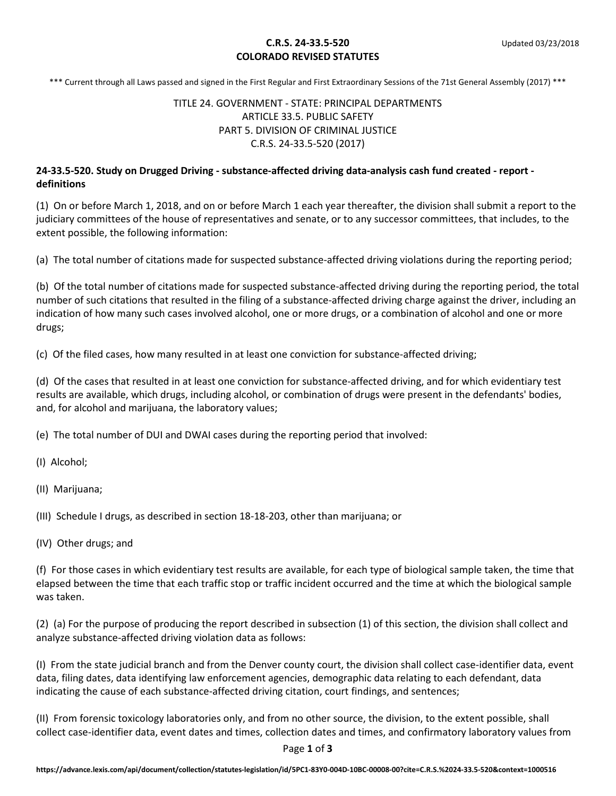#### **C.R.S. 24-33.5-520** Updated 03/23/2018 **COLORADO REVISED STATUTES**

\*\*\* Current through all Laws passed and signed in the First Regular and First Extraordinary Sessions of the 71st General Assembly (2017) \*\*\*

### TITLE 24. GOVERNMENT - STATE: PRINCIPAL DEPARTMENTS ARTICLE 33.5. PUBLIC SAFETY PART 5. DIVISION OF CRIMINAL JUSTICE C.R.S. 24-33.5-520 (2017)

#### **24-33.5-520. Study on Drugged Driving - substance-affected driving data-analysis cash fund created - report definitions**

(1) On or before March 1, 2018, and on or before March 1 each year thereafter, the division shall submit a report to the judiciary committees of the house of representatives and senate, or to any successor committees, that includes, to the extent possible, the following information:

(a) The total number of citations made for suspected substance-affected driving violations during the reporting period;

(b) Of the total number of citations made for suspected substance-affected driving during the reporting period, the total number of such citations that resulted in the filing of a substance-affected driving charge against the driver, including an indication of how many such cases involved alcohol, one or more drugs, or a combination of alcohol and one or more drugs;

(c) Of the filed cases, how many resulted in at least one conviction for substance-affected driving;

(d) Of the cases that resulted in at least one conviction for substance-affected driving, and for which evidentiary test results are available, which drugs, including alcohol, or combination of drugs were present in the defendants' bodies, and, for alcohol and marijuana, the laboratory values;

(e) The total number of DUI and DWAI cases during the reporting period that involved:

(I) Alcohol;

(II) Marijuana;

(III) Schedule I drugs, as described in section 18-18-203, other than marijuana; or

(IV) Other drugs; and

(f) For those cases in which evidentiary test results are available, for each type of biological sample taken, the time that elapsed between the time that each traffic stop or traffic incident occurred and the time at which the biological sample was taken.

(2) (a) For the purpose of producing the report described in subsection (1) of this section, the division shall collect and analyze substance-affected driving violation data as follows:

(I) From the state judicial branch and from the Denver county court, the division shall collect case-identifier data, event data, filing dates, data identifying law enforcement agencies, demographic data relating to each defendant, data indicating the cause of each substance-affected driving citation, court findings, and sentences;

(II) From forensic toxicology laboratories only, and from no other source, the division, to the extent possible, shall collect case-identifier data, event dates and times, collection dates and times, and confirmatory laboratory values from

Page **1** of **3**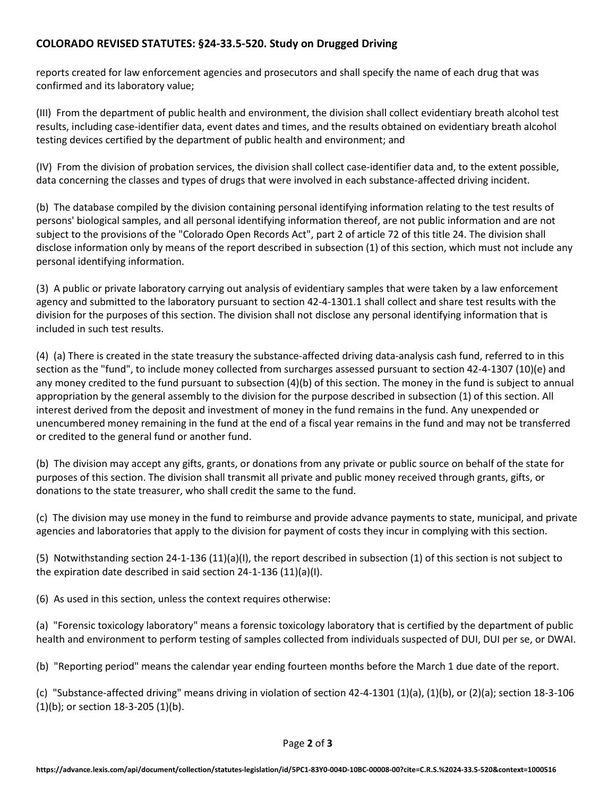# **COLORADO REVISED STATUTES: §24-33.5-520. Study on Drugged Driving**

reports created for law enforcement agencies and prosecutors and shall specify the name of each drug that was confirmed and its laboratory value;

(III) From the department of public health and environment, the division shall collect evidentiary breath alcohol test results, including case-identifier data, event dates and times, and the results obtained on evidentiary breath alcohol testing devices certified by the department of public health and environment; and

(IV) From the division of probation services, the division shall collect case-identifier data and, to the extent possible, data concerning the classes and types of drugs that were involved in each substance-affected driving incident.

(b) The database compiled by the division containing personal identifying information relating to the test results of persons' biological samples, and all personal identifying information thereof, are not public information and are not subject to the provisions of the "Colorado Open Records Act", part 2 of article 72 of this title 24. The division shall disclose information only by means of the report described in subsection (1) of this section, which must not include any personal identifying information.

(3) A public or private laboratory carrying out analysis of evidentiary samples that were taken by a law enforcement agency and submitted to the laboratory pursuant to section 42-4-1301.1 shall collect and share test results with the division for the purposes of this section. The division shall not disclose any personal identifying information that is included in such test results.

(4) (a) There is created in the state treasury the substance-affected driving data-analysis cash fund, referred to in this section as the "fund", to include money collected from surcharges assessed pursuant to section 42-4-1307 (10)(e) and any money credited to the fund pursuant to subsection (4)(b) of this section. The money in the fund is subject to annual appropriation by the general assembly to the division for the purpose described in subsection (1) of this section. All interest derived from the deposit and investment of money in the fund remains in the fund. Any unexpended or unencumbered money remaining in the fund at the end of a fiscal year remains in the fund and may not be transferred or credited to the general fund or another fund.

(b) The division may accept any gifts, grants, or donations from any private or public source on behalf of the state for purposes of this section. The division shall transmit all private and public money received through grants, gifts, or donations to the state treasurer, who shall credit the same to the fund.

(c) The division may use money in the fund to reimburse and provide advance payments to state, municipal, and private agencies and laboratories that apply to the division for payment of costs they incur in complying with this section.

(5) Notwithstanding section 24-1-136 (11)(a)(I), the report described in subsection (1) of this section is not subject to the expiration date described in said section 24-1-136 (11)(a)(I).

(6) As used in this section, unless the context requires otherwise:

(a) "Forensic toxicology laboratory" means a forensic toxicology laboratory that is certified by the department of public health and environment to perform testing of samples collected from individuals suspected of DUI, DUI per se, or DWAI.

(b) "Reporting period" means the calendar year ending fourteen months before the March 1 due date of the report.

(c) "Substance-affected driving" means driving in violation of section 42-4-1301 (1)(a), (1)(b), or (2)(a); section 18-3-106 (1)(b); or section 18-3-205 (1)(b).

Page **2** of **3**